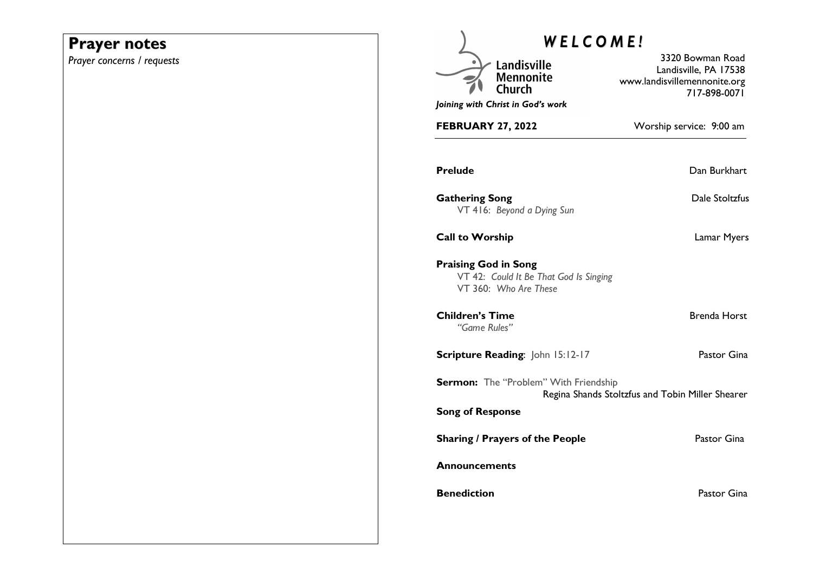## **Prayer notes**

*Prayer concerns / requests* 

| <b>WELCOME!</b>                                                                                |                                                                                           |
|------------------------------------------------------------------------------------------------|-------------------------------------------------------------------------------------------|
| Landisville<br><b>Mennonite</b><br>Church                                                      | 3320 Bowman Road<br>Landisville, PA 17538<br>www.landisvillemennonite.org<br>717-898-0071 |
| Joining with Christ in God's work                                                              |                                                                                           |
| <b>FEBRUARY 27, 2022</b>                                                                       | Worship service: 9:00 am                                                                  |
| <b>Prelude</b>                                                                                 | Dan Burkhart                                                                              |
| <b>Gathering Song</b><br>VT 416: Beyond a Dying Sun                                            | Dale Stoltzfus                                                                            |
| <b>Call to Worship</b>                                                                         | Lamar Myers                                                                               |
| <b>Praising God in Song</b><br>VT 42: Could It Be That God Is Singing<br>VT 360: Who Are These |                                                                                           |
| <b>Children's Time</b><br>"Game Rules"                                                         | Brenda Horst                                                                              |
| Scripture Reading: John 15:12-17                                                               | Pastor Gina                                                                               |
| Sermon: The "Problem" With Friendship                                                          | Regina Shands Stoltzfus and Tobin Miller Shearer                                          |
| <b>Song of Response</b>                                                                        |                                                                                           |
| <b>Sharing / Prayers of the People</b>                                                         | Pastor Gina                                                                               |
| Announcements                                                                                  |                                                                                           |
| <b>Benediction</b>                                                                             | Pastor Gina                                                                               |